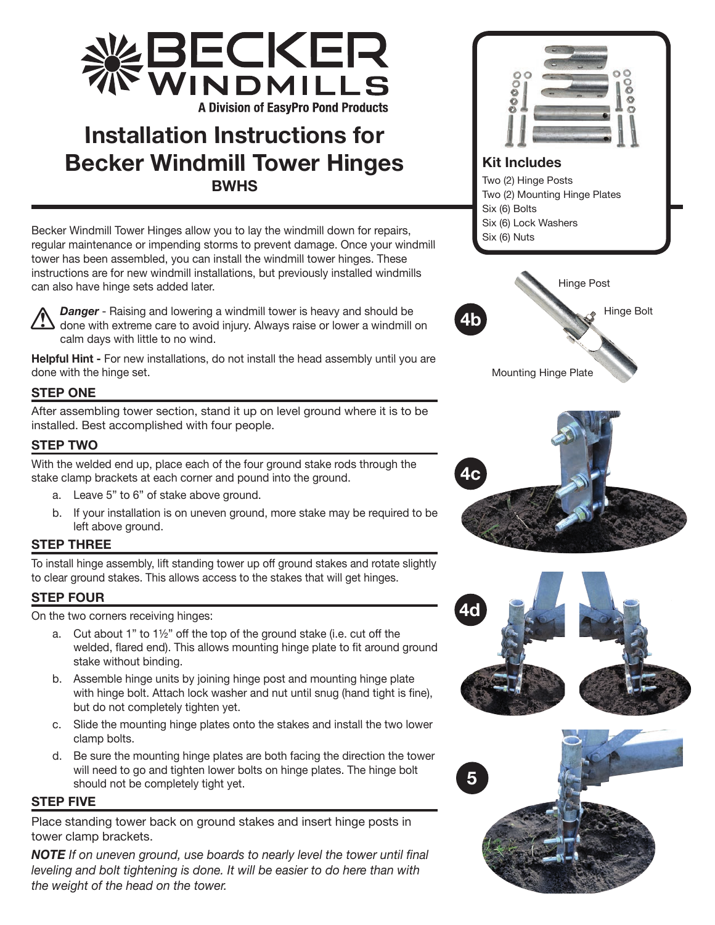

# **Installation Instructions for Becker Windmill Tower Hinges BWHS**

Becker Windmill Tower Hinges allow you to lay the windmill down for repairs, regular maintenance or impending storms to prevent damage. Once your windmill tower has been assembled, you can install the windmill tower hinges. These instructions are for new windmill installations, but previously installed windmills can also have hinge sets added later.



*Danger* - Raising and lowering a windmill tower is heavy and should be done with extreme care to avoid injury. Always raise or lower a windmill on calm days with little to no wind.

**Helpful Hint -** For new installations, do not install the head assembly until you are done with the hinge set.

# **STEP ONE**

After assembling tower section, stand it up on level ground where it is to be installed. Best accomplished with four people.

# **STEP TWO**

With the welded end up, place each of the four ground stake rods through the stake clamp brackets at each corner and pound into the ground.

- a. Leave 5" to 6" of stake above ground.
- b. If your installation is on uneven ground, more stake may be required to be left above ground.

### **STEP THREE**

To install hinge assembly, lift standing tower up off ground stakes and rotate slightly to clear ground stakes. This allows access to the stakes that will get hinges.

# **STEP FOUR**

On the two corners receiving hinges:

- a. Cut about 1" to 1½" off the top of the ground stake (i.e. cut off the welded, flared end). This allows mounting hinge plate to fit around ground stake without binding.
- b. Assemble hinge units by joining hinge post and mounting hinge plate with hinge bolt. Attach lock washer and nut until snug (hand tight is fine), but do not completely tighten yet.
- c. Slide the mounting hinge plates onto the stakes and install the two lower clamp bolts.
- d. Be sure the mounting hinge plates are both facing the direction the tower will need to go and tighten lower bolts on hinge plates. The hinge bolt should not be completely tight yet.

### **STEP FIVE**

Place standing tower back on ground stakes and insert hinge posts in tower clamp brackets.

*NOTE If on uneven ground, use boards to nearly level the tower until final leveling and bolt tightening is done. It will be easier to do here than with the weight of the head on the tower.*